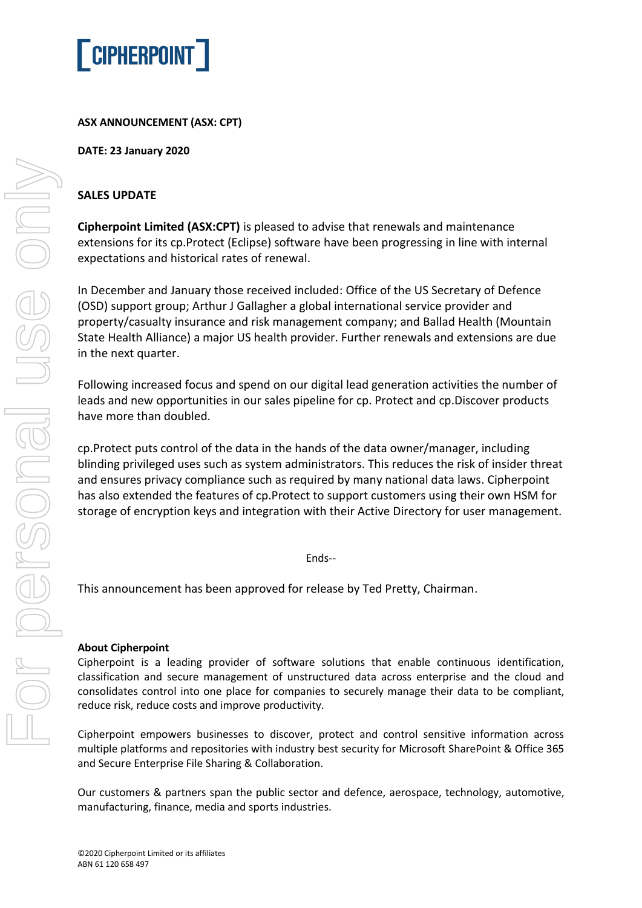

## **ASX ANNOUNCEMENT (ASX: CPT)**

**DATE: 23 January 2020**

## **SALES UPDATE**

**Cipherpoint Limited (ASX:CPT)** is pleased to advise that renewals and maintenance extensions for its cp.Protect (Eclipse) software have been progressing in line with internal expectations and historical rates of renewal.

In December and January those received included: Office of the US Secretary of Defence (OSD) support group; Arthur J Gallagher a global international service provider and property/casualty insurance and risk management company; and Ballad Health (Mountain State Health Alliance) a major US health provider. Further renewals and extensions are due in the next quarter.

Following increased focus and spend on our digital lead generation activities the number of leads and new opportunities in our sales pipeline for cp. Protect and cp.Discover products have more than doubled.

cp.Protect puts control of the data in the hands of the data owner/manager, including blinding privileged uses such as system administrators. This reduces the risk of insider threat and ensures privacy compliance such as required by many national data laws. Cipherpoint has also extended the features of cp.Protect to support customers using their own HSM for storage of encryption keys and integration with their Active Directory for user management.

Ends--

This announcement has been approved for release by Ted Pretty, Chairman.

## **About Cipherpoint**

Cipherpoint is a leading provider of software solutions that enable continuous identification, classification and secure management of unstructured data across enterprise and the cloud and consolidates control into one place for companies to securely manage their data to be compliant, reduce risk, reduce costs and improve productivity.

Cipherpoint empowers businesses to discover, protect and control sensitive information across multiple platforms and repositories with industry best security for Microsoft SharePoint & Office 365 and Secure Enterprise File Sharing & Collaboration.

Our customers & partners span the public sector and defence, aerospace, technology, automotive, manufacturing, finance, media and sports industries.